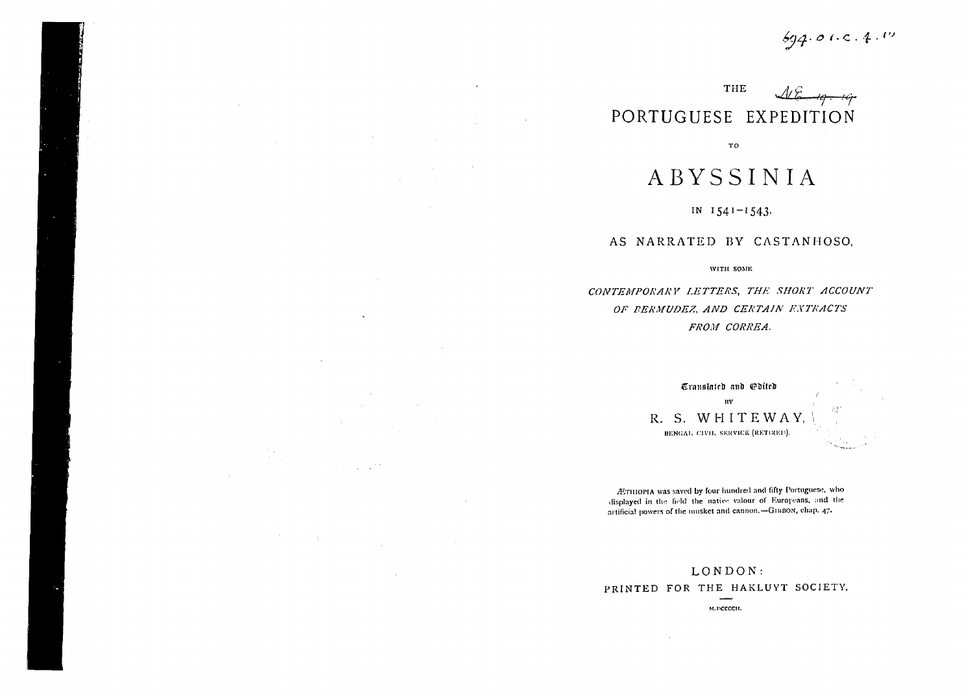$694.01.0.4.19$ 

# THE  $48 - 19 - 19$ PORTUGUESE EXPEDITION

 $\ddot{\phantom{a}}$ 

 $\sim 10$ 

 $\sim$ 

 $\sim 10^{-11}$ 

 $\sim$ 

 $\label{eq:2.1} \mathcal{L}^{(1)}(\mathcal{L}^{(1)}) = \mathcal{L}^{(1)}(\mathcal{L}^{(1)}) = \mathcal{L}^{(1)}(\mathcal{L}^{(1)})$ 

 $\mathcal{L}^{\text{max}}_{\text{max}}$  , where  $\mathcal{L}^{\text{max}}_{\text{max}}$ 

 $\sim 100$ 

 $\sim$   $\sim$ 

 $\sim$   $\sim$ 

 $\sim 10^{-1}$ 

**TO** 

# **ABYSSINIA**

### IN  $1541 - 1543$

### AS NARRATED BY CASTANHOSO,

WITH SOME

CONTEMPORARY LETTERS, THE SHORT ACCOUNT OF BERMUDEZ, AND CERTAIN EXTRACTS FROM CORREA.



ÆTHIOPIA was saved by four hundred and fifty Portuguese, who displayed in the field the native valour of Europeans, and the artificial powers of the musket and cannon.-GIBBON, chap. 47.

# LONDON: PRINTED FOR THE HAKLUYT SOCIETY.

M. DCCCCII.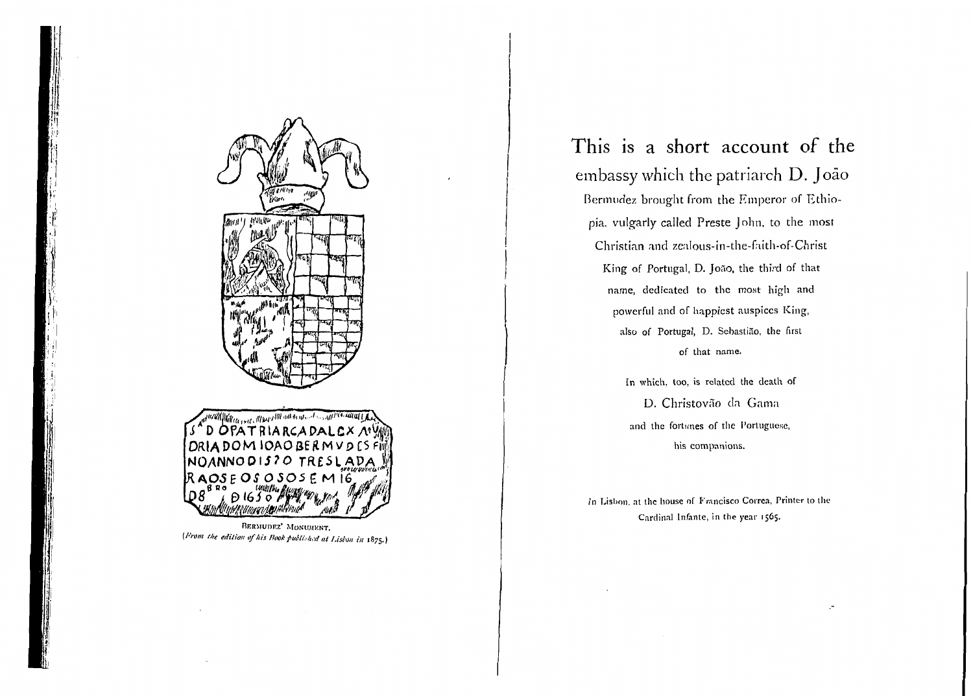

(From the edition of his Book published at Lishon in 1875.)

# This is a short account of the embassy which the patriarch D. João Bermudez brought from the Emperor of Ethiopia, vulgarly called Preste John, to the most Christian and zealous-in-the-faith-of-Christ King of Portugal, D. João, the third of that name, dedicated to the most high and powerful and of happiest auspices King, also of Portugal, D. Sebastião, the first of that name.

In which, too, is related the death of D. Christovão da Gama and the fortunes of the Portuguese, his companions.

In Lisbon, at the house of Francisco Correa, Printer to the Cardinal Infante, in the year 1565.

 $\cdot$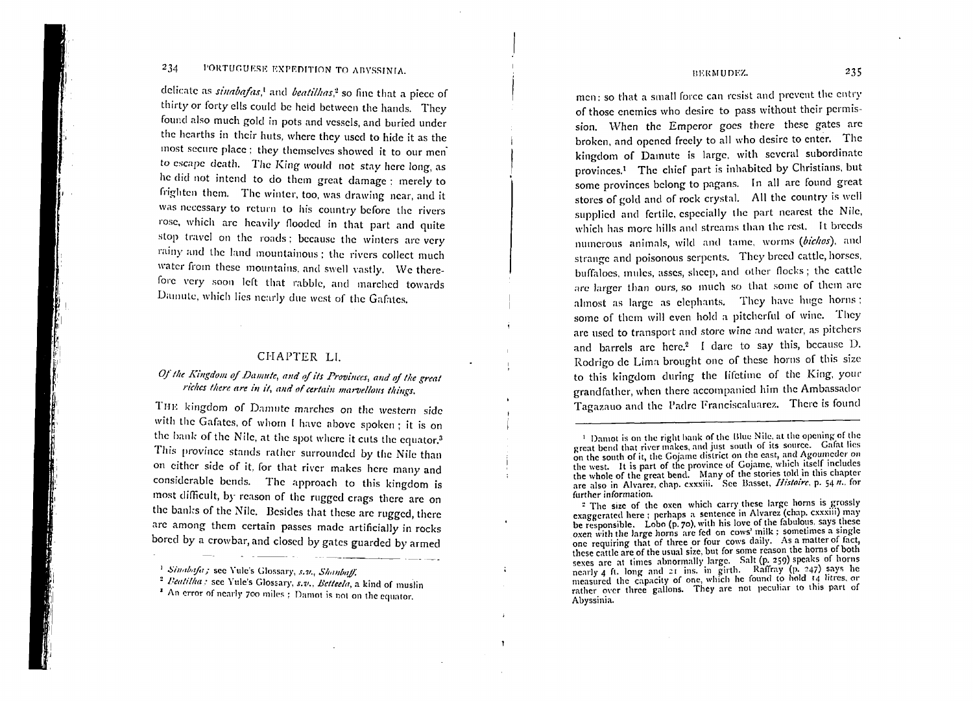#### PORTUGUESE EXPEDITION TO ABYSSINIA. 234

delicate as *sinabafas*,<sup>1</sup> and *beatilhas*,<sup>2</sup> so fine that a piece of thirty or forty ells could be held between the hands. They found also much gold in pots and vessels, and buried under the hearths in their huts, where they used to hide it as the most secure place; they themselves showed it to our men to escape death. The King would not stay here long, as he did not intend to do them great damage ; merely to frighten them. The winter, too, was drawing near, and it was necessary to return to his country before the rivers rose, which are heavily flooded in that part and quite stop travel on the roads; because the winters are very rainy and the land mountainous; the rivers collect much water from these mountains, and swell vastly. We therefore very soon left that rabble, and marched towards Damute, which lies nearly due west of the Gafates.

## CHAPTER LI.

## Of the Kingdom of Damute, and of its Provinces, and of the great riches there are in it, and of certain marvellous things.

THE kingdom of Damute marches on the western side with the Gafates, of whom I have above spoken; it is on the bank of the Nile, at the spot where it cuts the equator.<sup>3</sup> This province stands rather surrounded by the Nile than on either side of it, for that river makes here many and considerable bends. The approach to this kingdom is most difficult, by reason of the rugged crags there are on the banks of the Nile. Besides that these are rugged, there are among them certain passes made artificially in rocks bored by a crowbar, and closed by gates guarded by armed

 $\ddot{\phantom{a}}$ 

 $\mathbf{r}$ 

\* An error of nearly 700 miles : Damot is not on the equator.

### BERMUDEZ.

men: so that a small force can resist and prevent the entry of those enemies who desire to pass without their permission. When the Emperor goes there these gates are broken, and opened freely to all who desire to enter. The kingdom of Damute is large, with several subordinate provinces.<sup>1</sup> The chief part is inhabited by Christians, but some provinces belong to pagans. In all are found great stores of gold and of rock crystal. All the country is well supplied and fertile, especially the part nearest the Nile, which has more hills and streams than the rest. It breeds numerous animals, wild and tame, worms (bichos), and strange and poisonous serpents. They breed cattle, horses, buffaloes, mules, asses, sheep, and other flocks; the cattle are larger than ours, so much so that some of them are almost as large as elephants. They have huge horns; some of them will even hold a pitcherful of wine. They are used to transport and store wine and water, as pitchers and barrels are here.<sup>2</sup> I dare to say this, because D. Rodrigo de Lima brought one of these horns of this size to this kingdom during the lifetime of the King, your grandfather, when there accompanied him the Ambassador Tagazauo and the Padre Franciscaluarez. There is found

<sup>&</sup>lt;sup>1</sup> Sinabafa; see Yule's Glossary, s.v., Shanbaff.

<sup>&</sup>lt;sup>2</sup> Beatilha: see Yule's Glossary, s.v., Betteela, a kind of muslin

<sup>&</sup>lt;sup>1</sup> Damot is on the right bank of the Blue Nile, at the opening of the great bend that river makes, and just south of its source. Gafat lies on the south of it, the Gojame district on the east, and Agoumeder on the west. It is part of the province of Gojame, which itself includes the whole of the great bend. Many of the stories told in this chapter<br>are also in Alvarez, chap. exxxiii. See Basset, *Histoire*, p. 54 n., for further information.

<sup>&</sup>lt;sup>2</sup> The size of the oxen which carry these large horns is grossly - The size of the oxen which carry these large norms is grossly<br>exaggerated here; perhaps a sentence in Alvarez (chap. cxxxiii) may<br>be responsible. Lobo (p. 70), with his love of the fabulous, says these<br>oxen with the larg these cattle are of the usual size, but for some reason the horns of both sexes are at times abnormally large. Salt (p. 259) speaks of horns nearly 4 ft. long and 21 ins. in girth. Raffray (p. 247) spyses of norms<br>meatly 4 ft. long and 21 ins. in girth. Raffray (p. 247) says he<br>measured the capacity of one, which he found to hold 14 litres, or<br>rather over three Abyssinia.